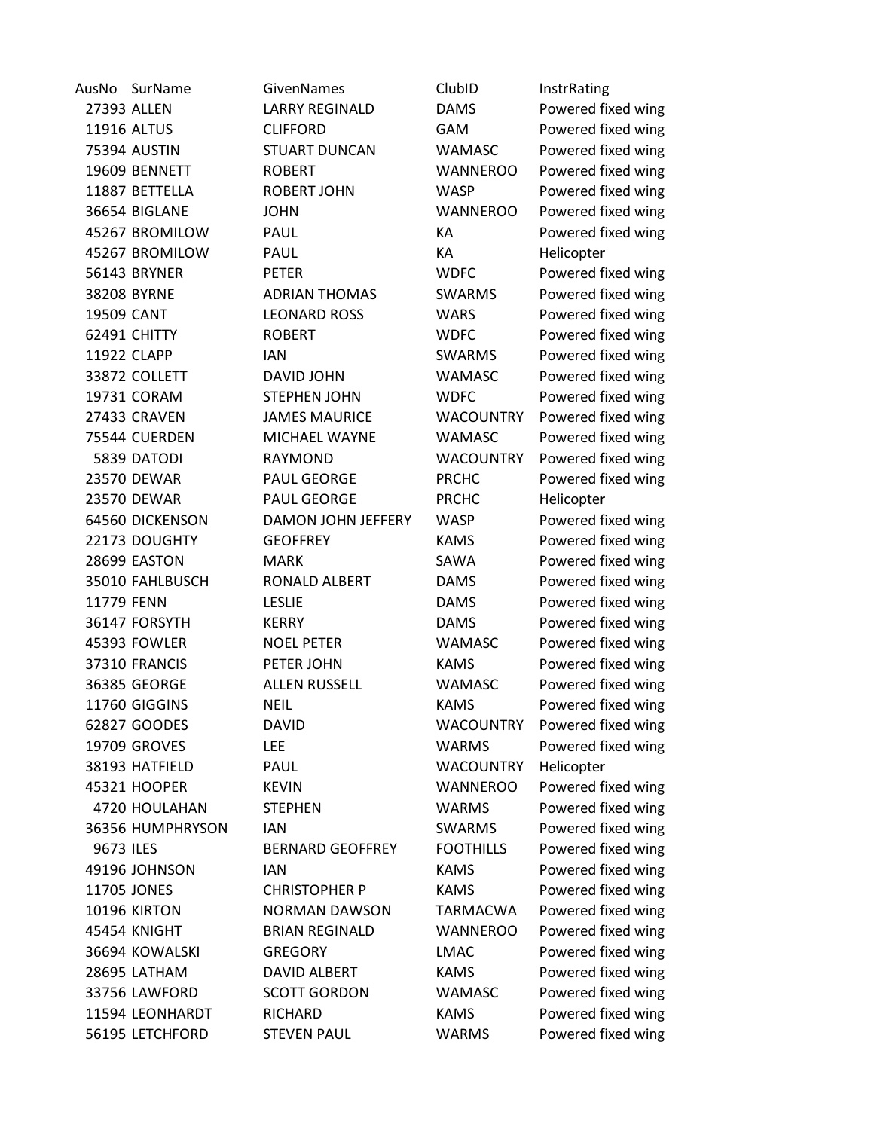| AusNo      | SurName             | GivenNames                | ClubID           | InstrRating        |
|------------|---------------------|---------------------------|------------------|--------------------|
|            | 27393 ALLEN         | <b>LARRY REGINALD</b>     | <b>DAMS</b>      | Powered fixed wing |
|            | 11916 ALTUS         | <b>CLIFFORD</b>           | GAM              | Powered fixed wing |
|            | <b>75394 AUSTIN</b> | <b>STUART DUNCAN</b>      | <b>WAMASC</b>    | Powered fixed wing |
|            | 19609 BENNETT       | <b>ROBERT</b>             | <b>WANNEROO</b>  | Powered fixed wing |
|            | 11887 BETTELLA      | <b>ROBERT JOHN</b>        | <b>WASP</b>      | Powered fixed wing |
|            | 36654 BIGLANE       | <b>JOHN</b>               | <b>WANNEROO</b>  | Powered fixed wing |
|            | 45267 BROMILOW      | PAUL                      | КA               | Powered fixed wing |
|            | 45267 BROMILOW      | PAUL                      | КA               | Helicopter         |
|            | 56143 BRYNER        | <b>PETER</b>              | <b>WDFC</b>      | Powered fixed wing |
|            | 38208 BYRNE         | <b>ADRIAN THOMAS</b>      | <b>SWARMS</b>    | Powered fixed wing |
| 19509 CANT |                     | <b>LEONARD ROSS</b>       | <b>WARS</b>      | Powered fixed wing |
|            | 62491 CHITTY        | <b>ROBERT</b>             | <b>WDFC</b>      | Powered fixed wing |
|            | 11922 CLAPP         | <b>IAN</b>                | <b>SWARMS</b>    | Powered fixed wing |
|            | 33872 COLLETT       | DAVID JOHN                | <b>WAMASC</b>    | Powered fixed wing |
|            | 19731 CORAM         | <b>STEPHEN JOHN</b>       | <b>WDFC</b>      | Powered fixed wing |
|            | 27433 CRAVEN        | <b>JAMES MAURICE</b>      | <b>WACOUNTRY</b> | Powered fixed wing |
|            | 75544 CUERDEN       | MICHAEL WAYNE             | <b>WAMASC</b>    | Powered fixed wing |
|            | 5839 DATODI         | <b>RAYMOND</b>            | <b>WACOUNTRY</b> | Powered fixed wing |
|            | 23570 DEWAR         | PAUL GEORGE               | <b>PRCHC</b>     | Powered fixed wing |
|            | 23570 DEWAR         | PAUL GEORGE               | <b>PRCHC</b>     | Helicopter         |
|            | 64560 DICKENSON     | <b>DAMON JOHN JEFFERY</b> | <b>WASP</b>      | Powered fixed wing |
|            | 22173 DOUGHTY       | <b>GEOFFREY</b>           | <b>KAMS</b>      | Powered fixed wing |
|            | 28699 EASTON        | <b>MARK</b>               | SAWA             | Powered fixed wing |
|            | 35010 FAHLBUSCH     | RONALD ALBERT             | <b>DAMS</b>      | Powered fixed wing |
| 11779 FENN |                     | <b>LESLIE</b>             | <b>DAMS</b>      | Powered fixed wing |
|            | 36147 FORSYTH       | <b>KERRY</b>              | <b>DAMS</b>      | Powered fixed wing |
|            | 45393 FOWLER        | <b>NOEL PETER</b>         | WAMASC           | Powered fixed wing |
|            | 37310 FRANCIS       | PETER JOHN                | <b>KAMS</b>      | Powered fixed wing |
|            | 36385 GEORGE        | <b>ALLEN RUSSELL</b>      | <b>WAMASC</b>    | Powered fixed wing |
|            | 11760 GIGGINS       | <b>NEIL</b>               | <b>KAMS</b>      | Powered fixed wing |
|            | 62827 GOODES        | <b>DAVID</b>              | <b>WACOUNTRY</b> | Powered fixed wing |
|            | 19709 GROVES        | <b>LEE</b>                | <b>WARMS</b>     | Powered fixed wing |
|            | 38193 HATFIELD      | PAUL                      | <b>WACOUNTRY</b> | Helicopter         |
|            | 45321 HOOPER        | <b>KEVIN</b>              | <b>WANNEROO</b>  | Powered fixed wing |
|            | 4720 HOULAHAN       | <b>STEPHEN</b>            | <b>WARMS</b>     | Powered fixed wing |
|            | 36356 HUMPHRYSON    | <b>IAN</b>                | <b>SWARMS</b>    | Powered fixed wing |
| 9673 ILES  |                     | <b>BERNARD GEOFFREY</b>   | <b>FOOTHILLS</b> | Powered fixed wing |
|            | 49196 JOHNSON       | <b>IAN</b>                | <b>KAMS</b>      | Powered fixed wing |
|            | 11705 JONES         | <b>CHRISTOPHER P</b>      | <b>KAMS</b>      | Powered fixed wing |
|            | 10196 KIRTON        | <b>NORMAN DAWSON</b>      | TARMACWA         | Powered fixed wing |
|            | 45454 KNIGHT        | <b>BRIAN REGINALD</b>     | <b>WANNEROO</b>  | Powered fixed wing |
|            | 36694 KOWALSKI      | <b>GREGORY</b>            | <b>LMAC</b>      | Powered fixed wing |
|            | 28695 LATHAM        | <b>DAVID ALBERT</b>       | KAMS             | Powered fixed wing |
|            | 33756 LAWFORD       | <b>SCOTT GORDON</b>       | <b>WAMASC</b>    | Powered fixed wing |
|            | 11594 LEONHARDT     | <b>RICHARD</b>            | <b>KAMS</b>      | Powered fixed wing |
|            | 56195 LETCHFORD     | <b>STEVEN PAUL</b>        | <b>WARMS</b>     | Powered fixed wing |